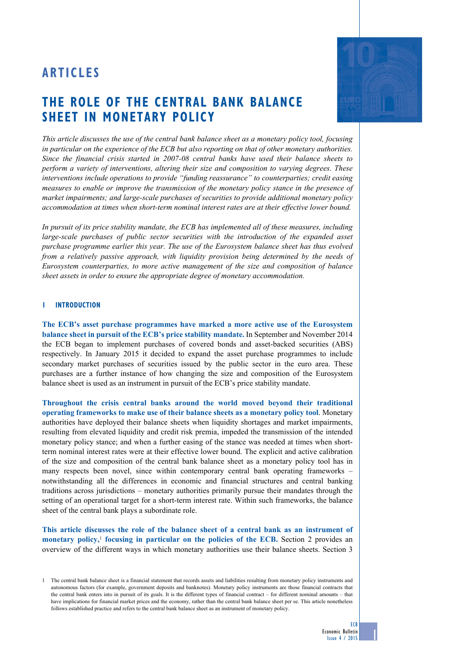# **ARTICLES**

# **The role of The central bank balance sheet in monetary policy**

*This article discusses the use of the central bank balance sheet as a monetary policy tool, focusing in particular on the experience of the ECB but also reporting on that of other monetary authorities. Since the financial crisis started in 2007-08 central banks have used their balance sheets to perform a variety of interventions, altering their size and composition to varying degrees. These interventions include operations to provide "funding reassurance" to counterparties; credit easing measures to enable or improve the transmission of the monetary policy stance in the presence of market impairments; and large-scale purchases of securities to provide additional monetary policy accommodation at times when short-term nominal interest rates are at their effective lower bound.* 

*In pursuit of its price stability mandate, the ECB has implemented all of these measures, including large-scale purchases of public sector securities with the introduction of the expanded asset purchase programme earlier this year. The use of the Eurosystem balance sheet has thus evolved from a relatively passive approach, with liquidity provision being determined by the needs of Eurosystem counterparties, to more active management of the size and composition of balance sheet assets in order to ensure the appropriate degree of monetary accommodation.*

## **1 Introduction**

**The ECB's asset purchase programmes have marked a more active use of the Eurosystem balance sheet in pursuit of the ECB's price stability mandate.** In September and November 2014 the ECB began to implement purchases of covered bonds and asset-backed securities (ABS) respectively. In January 2015 it decided to expand the asset purchase programmes to include secondary market purchases of securities issued by the public sector in the euro area. These purchases are a further instance of how changing the size and composition of the Eurosystem balance sheet is used as an instrument in pursuit of the ECB's price stability mandate.

**Throughout the crisis central banks around the world moved beyond their traditional operating frameworks to make use of their balance sheets as a monetary policy tool**. Monetary authorities have deployed their balance sheets when liquidity shortages and market impairments, resulting from elevated liquidity and credit risk premia, impeded the transmission of the intended monetary policy stance; and when a further easing of the stance was needed at times when shortterm nominal interest rates were at their effective lower bound. The explicit and active calibration of the size and composition of the central bank balance sheet as a monetary policy tool has in many respects been novel, since within contemporary central bank operating frameworks – notwithstanding all the differences in economic and financial structures and central banking traditions across jurisdictions – monetary authorities primarily pursue their mandates through the setting of an operational target for a short-term interest rate. Within such frameworks, the balance sheet of the central bank plays a subordinate role.

**This article discusses the role of the balance sheet of a central bank as an instrument of**  monetary policy,<sup>1</sup> focusing in particular on the policies of the ECB. Section 2 provides an overview of the different ways in which monetary authorities use their balance sheets. Section 3



ECB

<sup>1</sup> The central bank balance sheet is a financial statement that records assets and liabilities resulting from monetary policy instruments and autonomous factors (for example, government deposits and banknotes). Monetary policy instruments are those financial contracts that the central bank enters into in pursuit of its goals. It is the different types of financial contract – for different nominal amounts – that have implications for financial market prices and the economy, rather than the central bank balance sheet per se. This article nonetheless follows established practice and refers to the central bank balance sheet as an instrument of monetary policy.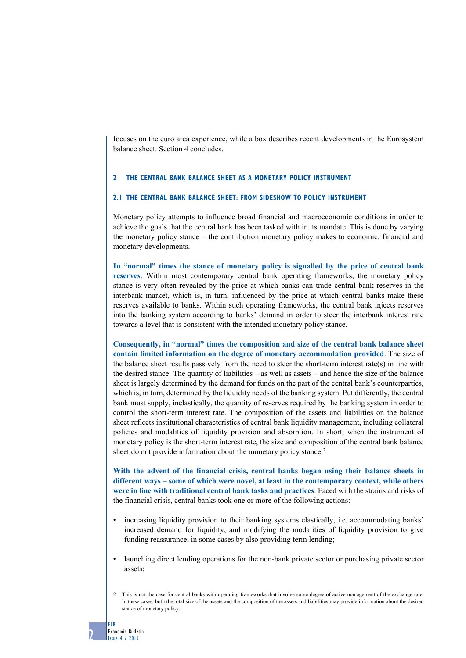focuses on the euro area experience, while a box describes recent developments in the Eurosystem balance sheet. Section 4 concludes.

# **2 The central bank balance sheet as a monetary policy instrument**

## **2.1 The central bank balance sheet: from sideshow to policy instrument**

Monetary policy attempts to influence broad financial and macroeconomic conditions in order to achieve the goals that the central bank has been tasked with in its mandate. This is done by varying the monetary policy stance – the contribution monetary policy makes to economic, financial and monetary developments.

**In "normal" times the stance of monetary policy is signalled by the price of central bank reserves**. Within most contemporary central bank operating frameworks, the monetary policy stance is very often revealed by the price at which banks can trade central bank reserves in the interbank market, which is, in turn, influenced by the price at which central banks make these reserves available to banks. Within such operating frameworks, the central bank injects reserves into the banking system according to banks' demand in order to steer the interbank interest rate towards a level that is consistent with the intended monetary policy stance.

**Consequently, in "normal" times the composition and size of the central bank balance sheet contain limited information on the degree of monetary accommodation provided**. The size of the balance sheet results passively from the need to steer the short-term interest rate(s) in line with the desired stance. The quantity of liabilities – as well as assets – and hence the size of the balance sheet is largely determined by the demand for funds on the part of the central bank's counterparties, which is, in turn, determined by the liquidity needs of the banking system. Put differently, the central bank must supply, inelastically, the quantity of reserves required by the banking system in order to control the short-term interest rate. The composition of the assets and liabilities on the balance sheet reflects institutional characteristics of central bank liquidity management, including collateral policies and modalities of liquidity provision and absorption. In short, when the instrument of monetary policy is the short-term interest rate, the size and composition of the central bank balance sheet do not provide information about the monetary policy stance.<sup>2</sup>

**With the advent of the financial crisis, central banks began using their balance sheets in different ways – some of which were novel, at least in the contemporary context, while others were in line with traditional central bank tasks and practices**. Faced with the strains and risks of the financial crisis, central banks took one or more of the following actions:

- increasing liquidity provision to their banking systems elastically, i.e. accommodating banks' increased demand for liquidity, and modifying the modalities of liquidity provision to give funding reassurance, in some cases by also providing term lending;
- launching direct lending operations for the non-bank private sector or purchasing private sector assets;
- 2 This is not the case for central banks with operating frameworks that involve some degree of active management of the exchange rate. In these cases, both the total size of the assets and the composition of the assets and liabilities may provide information about the desired stance of monetary policy.

ECB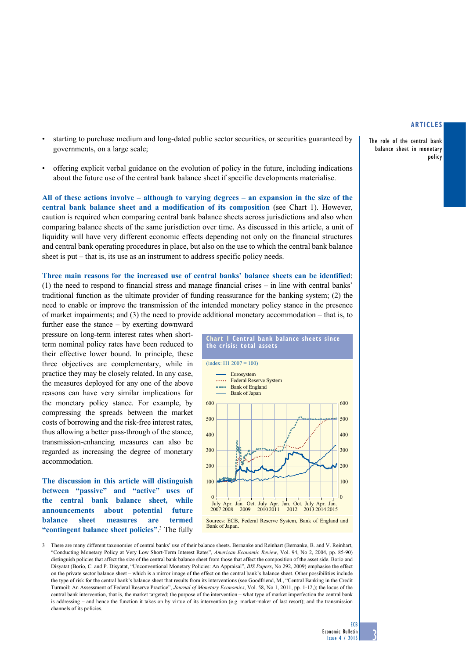The role of the central bank balance sheet in monetary policy

- starting to purchase medium and long-dated public sector securities, or securities guaranteed by governments, on a large scale;
- offering explicit verbal guidance on the evolution of policy in the future, including indications about the future use of the central bank balance sheet if specific developments materialise.

**All of these actions involve – although to varying degrees – an expansion in the size of the central bank balance sheet and a modification of its composition** (see Chart 1). However, caution is required when comparing central bank balance sheets across jurisdictions and also when comparing balance sheets of the same jurisdiction over time. As discussed in this article, a unit of liquidity will have very different economic effects depending not only on the financial structures and central bank operating procedures in place, but also on the use to which the central bank balance sheet is put – that is, its use as an instrument to address specific policy needs.

**Three main reasons for the increased use of central banks' balance sheets can be identified**: (1) the need to respond to financial stress and manage financial crises – in line with central banks' traditional function as the ultimate provider of funding reassurance for the banking system; (2) the need to enable or improve the transmission of the intended monetary policy stance in the presence of market impairments; and (3) the need to provide additional monetary accommodation – that is, to further ease the stance – by exerting downward

pressure on long-term interest rates when shortterm nominal policy rates have been reduced to their effective lower bound. In principle, these three objectives are complementary, while in practice they may be closely related. In any case, the measures deployed for any one of the above reasons can have very similar implications for the monetary policy stance. For example, by compressing the spreads between the market costs of borrowing and the risk-free interest rates, thus allowing a better pass-through of the stance, transmission-enhancing measures can also be regarded as increasing the degree of monetary accommodation.

**The discussion in this article will distinguish between "passive" and "active" uses of the central bank balance sheet, while announcements about potential future balance sheet measures are termed "contingent balance sheet policies"**. 3 The fully



3 There are many different taxonomies of central banks' use of their balance sheets. Bernanke and Reinhart (Bernanke, B. and V. Reinhart, "Conducting Monetary Policy at Very Low Short-Term Interest Rates", *American Economic Review*, Vol. 94, No 2, 2004, pp. 85-90) distinguish policies that affect the size of the central bank balance sheet from those that affect the composition of the asset side. Borio and Disyatat (Borio, C. and P. Disyatat, "Unconventional Monetary Policies: An Appraisal", *BIS Papers*, No 292, 2009) emphasise the effect on the private sector balance sheet – which is a mirror image of the effect on the central bank's balance sheet. Other possibilities include the type of risk for the central bank's balance sheet that results from its interventions (see Goodfriend, M., "Central Banking in the Credit Turmoil: An Assessment of Federal Reserve Practice", *Journal of Monetary Economics*, Vol. 58, No 1, 2011, pp. 1-12,); the locus of the central bank intervention, that is, the market targeted; the purpose of the intervention – what type of market imperfection the central bank is addressing – and hence the function it takes on by virtue of its intervention (e.g. market-maker of last resort); and the transmission channels of its policies.

**ECB**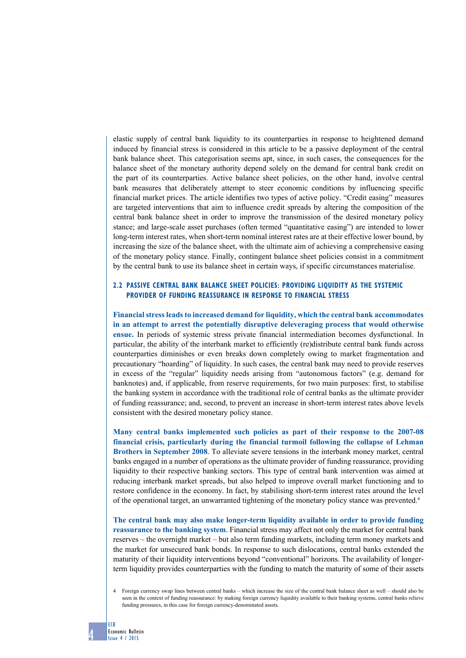elastic supply of central bank liquidity to its counterparties in response to heightened demand induced by financial stress is considered in this article to be a passive deployment of the central bank balance sheet. This categorisation seems apt, since, in such cases, the consequences for the balance sheet of the monetary authority depend solely on the demand for central bank credit on the part of its counterparties. Active balance sheet policies, on the other hand, involve central bank measures that deliberately attempt to steer economic conditions by influencing specific financial market prices. The article identifies two types of active policy. "Credit easing" measures are targeted interventions that aim to influence credit spreads by altering the composition of the central bank balance sheet in order to improve the transmission of the desired monetary policy stance; and large-scale asset purchases (often termed "quantitative easing") are intended to lower long-term interest rates, when short-term nominal interest rates are at their effective lower bound, by increasing the size of the balance sheet, with the ultimate aim of achieving a comprehensive easing of the monetary policy stance. Finally, contingent balance sheet policies consist in a commitment by the central bank to use its balance sheet in certain ways, if specific circumstances materialise.

# **2.2 Passive central bank balance sheet policies: providing liquidity as the systemic provider of funding reassurance in response to financial stress**

**Financial stress leads to increased demand for liquidity, which the central bank accommodates in an attempt to arrest the potentially disruptive deleveraging process that would otherwise ensue.** In periods of systemic stress private financial intermediation becomes dysfunctional. In particular, the ability of the interbank market to efficiently (re)distribute central bank funds across counterparties diminishes or even breaks down completely owing to market fragmentation and precautionary "hoarding" of liquidity. In such cases, the central bank may need to provide reserves in excess of the "regular" liquidity needs arising from "autonomous factors" (e.g. demand for banknotes) and, if applicable, from reserve requirements, for two main purposes: first, to stabilise the banking system in accordance with the traditional role of central banks as the ultimate provider of funding reassurance; and, second, to prevent an increase in short-term interest rates above levels consistent with the desired monetary policy stance.

**Many central banks implemented such policies as part of their response to the 2007-08 financial crisis, particularly during the financial turmoil following the collapse of Lehman Brothers in September 2008**. To alleviate severe tensions in the interbank money market, central banks engaged in a number of operations as the ultimate provider of funding reassurance, providing liquidity to their respective banking sectors. This type of central bank intervention was aimed at reducing interbank market spreads, but also helped to improve overall market functioning and to restore confidence in the economy. In fact, by stabilising short-term interest rates around the level of the operational target, an unwarranted tightening of the monetary policy stance was prevented.4

**The central bank may also make longer-term liquidity available in order to provide funding reassurance to the banking system**. Financial stress may affect not only the market for central bank reserves – the overnight market – but also term funding markets, including term money markets and the market for unsecured bank bonds. In response to such dislocations, central banks extended the maturity of their liquidity interventions beyond "conventional" horizons. The availability of longerterm liquidity provides counterparties with the funding to match the maturity of some of their assets

<sup>4</sup> Foreign currency swap lines between central banks – which increase the size of the central bank balance sheet as well – should also be seen in the context of funding reassurance: by making foreign currency liquidity available to their banking systems, central banks relieve funding pressures, in this case for foreign currency-denominated assets.

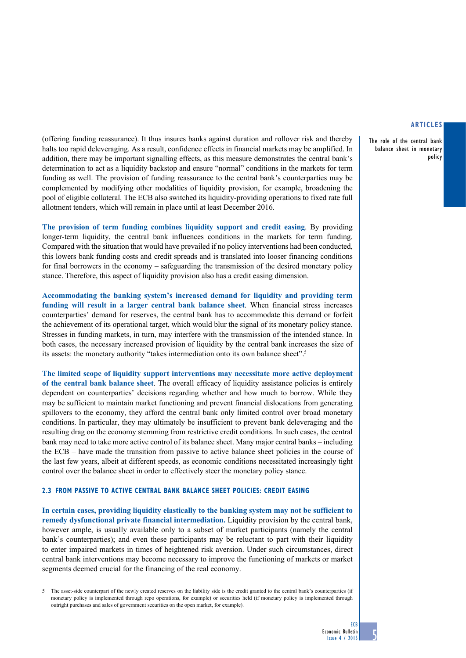The role of the central bank balance sheet in monetary policy

(offering funding reassurance). It thus insures banks against duration and rollover risk and thereby halts too rapid deleveraging. As a result, confidence effects in financial markets may be amplified. In addition, there may be important signalling effects, as this measure demonstrates the central bank's determination to act as a liquidity backstop and ensure "normal" conditions in the markets for term funding as well. The provision of funding reassurance to the central bank's counterparties may be complemented by modifying other modalities of liquidity provision, for example, broadening the pool of eligible collateral. The ECB also switched its liquidity-providing operations to fixed rate full allotment tenders, which will remain in place until at least December 2016.

**The provision of term funding combines liquidity support and credit easing**. By providing longer-term liquidity, the central bank influences conditions in the markets for term funding. Compared with the situation that would have prevailed if no policy interventions had been conducted, this lowers bank funding costs and credit spreads and is translated into looser financing conditions for final borrowers in the economy – safeguarding the transmission of the desired monetary policy stance. Therefore, this aspect of liquidity provision also has a credit easing dimension.

**Accommodating the banking system's increased demand for liquidity and providing term funding will result in a larger central bank balance sheet**. When financial stress increases counterparties' demand for reserves, the central bank has to accommodate this demand or forfeit the achievement of its operational target, which would blur the signal of its monetary policy stance. Stresses in funding markets, in turn, may interfere with the transmission of the intended stance. In both cases, the necessary increased provision of liquidity by the central bank increases the size of its assets: the monetary authority "takes intermediation onto its own balance sheet".5

**The limited scope of liquidity support interventions may necessitate more active deployment of the central bank balance sheet**. The overall efficacy of liquidity assistance policies is entirely dependent on counterparties' decisions regarding whether and how much to borrow. While they may be sufficient to maintain market functioning and prevent financial dislocations from generating spillovers to the economy, they afford the central bank only limited control over broad monetary conditions. In particular, they may ultimately be insufficient to prevent bank deleveraging and the resulting drag on the economy stemming from restrictive credit conditions. In such cases, the central bank may need to take more active control of its balance sheet. Many major central banks – including the ECB – have made the transition from passive to active balance sheet policies in the course of the last few years, albeit at different speeds, as economic conditions necessitated increasingly tight control over the balance sheet in order to effectively steer the monetary policy stance.

## **2.3 From passive to active central bank balance sheet policies: credit easing**

**In certain cases, providing liquidity elastically to the banking system may not be sufficient to remedy dysfunctional private financial intermediation.** Liquidity provision by the central bank, however ample, is usually available only to a subset of market participants (namely the central bank's counterparties); and even these participants may be reluctant to part with their liquidity to enter impaired markets in times of heightened risk aversion. Under such circumstances, direct central bank interventions may become necessary to improve the functioning of markets or market segments deemed crucial for the financing of the real economy.

5 The asset-side counterpart of the newly created reserves on the liability side is the credit granted to the central bank's counterparties (if monetary policy is implemented through repo operations, for example) or securities held (if monetary policy is implemented through outright purchases and sales of government securities on the open market, for example).

**ECB**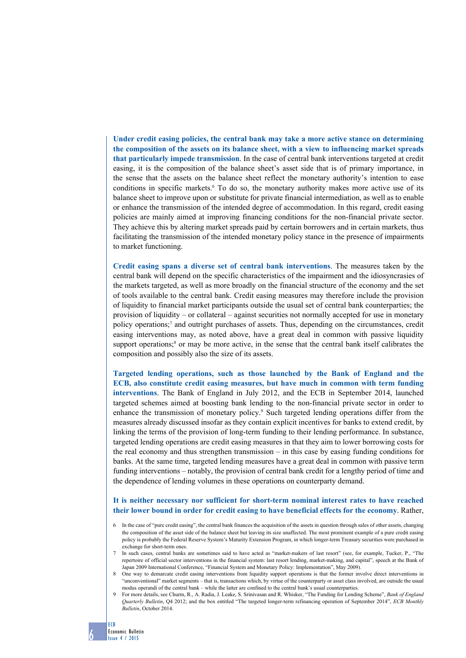**Under credit easing policies, the central bank may take a more active stance on determining the composition of the assets on its balance sheet, with a view to influencing market spreads that particularly impede transmission**. In the case of central bank interventions targeted at credit easing, it is the composition of the balance sheet's asset side that is of primary importance, in the sense that the assets on the balance sheet reflect the monetary authority's intention to ease conditions in specific markets.<sup>6</sup> To do so, the monetary authority makes more active use of its balance sheet to improve upon or substitute for private financial intermediation, as well as to enable or enhance the transmission of the intended degree of accommodation. In this regard, credit easing policies are mainly aimed at improving financing conditions for the non-financial private sector. They achieve this by altering market spreads paid by certain borrowers and in certain markets, thus facilitating the transmission of the intended monetary policy stance in the presence of impairments to market functioning.

**Credit easing spans a diverse set of central bank interventions**. The measures taken by the central bank will depend on the specific characteristics of the impairment and the idiosyncrasies of the markets targeted, as well as more broadly on the financial structure of the economy and the set of tools available to the central bank. Credit easing measures may therefore include the provision of liquidity to financial market participants outside the usual set of central bank counterparties; the provision of liquidity – or collateral – against securities not normally accepted for use in monetary policy operations;7 and outright purchases of assets. Thus, depending on the circumstances, credit easing interventions may, as noted above, have a great deal in common with passive liquidity support operations; $<sup>8</sup>$  or may be more active, in the sense that the central bank itself calibrates the</sup> composition and possibly also the size of its assets.

**Targeted lending operations, such as those launched by the Bank of England and the ECB, also constitute credit easing measures, but have much in common with term funding interventions**. The Bank of England in July 2012, and the ECB in September 2014, launched targeted schemes aimed at boosting bank lending to the non-financial private sector in order to enhance the transmission of monetary policy.<sup>9</sup> Such targeted lending operations differ from the measures already discussed insofar as they contain explicit incentives for banks to extend credit, by linking the terms of the provision of long-term funding to their lending performance. In substance, targeted lending operations are credit easing measures in that they aim to lower borrowing costs for the real economy and thus strengthen transmission – in this case by easing funding conditions for banks. At the same time, targeted lending measures have a great deal in common with passive term funding interventions – notably, the provision of central bank credit for a lengthy period of time and the dependence of lending volumes in these operations on counterparty demand.

# **It is neither necessary nor sufficient for short-term nominal interest rates to have reached their lower bound in order for credit easing to have beneficial effects for the economy**. Rather,

- 6 In the case of "pure credit easing", the central bank finances the acquisition of the assets in question through sales of other assets, changing the composition of the asset side of the balance sheet but leaving its size unaffected. The most prominent example of a pure credit easing policy is probably the Federal Reserve System's Maturity Extension Program, in which longer-term Treasury securities were purchased in exchange for short-term ones.
- In such cases, central banks are sometimes said to have acted as "market-makers of last resort" (see, for example, Tucker, P., "The repertoire of official sector interventions in the financial system: last resort lending, market-making, and capital", speech at the Bank of Japan 2009 International Conference, "Financial System and Monetary Policy: Implementation", May 2009).
- One way to demarcate credit easing interventions from liquidity support operations is that the former involve direct interventions in "unconventional" market segments – that is, transactions which, by virtue of the counterparty or asset class involved, are outside the usual modus operandi of the central bank – while the latter are confined to the central bank's usual counterparties.
- 9 For more details, see Churm, R., A. Radia, J. Leake, S. Srinivasan and R. Whisker, "The Funding for Lending Scheme", *Bank of England Quarterly Bulletin*, Q4 2012; and the box entitled "The targeted longer-term refinancing operation of September 2014", *ECB Monthly Bulletin*, October 2014.

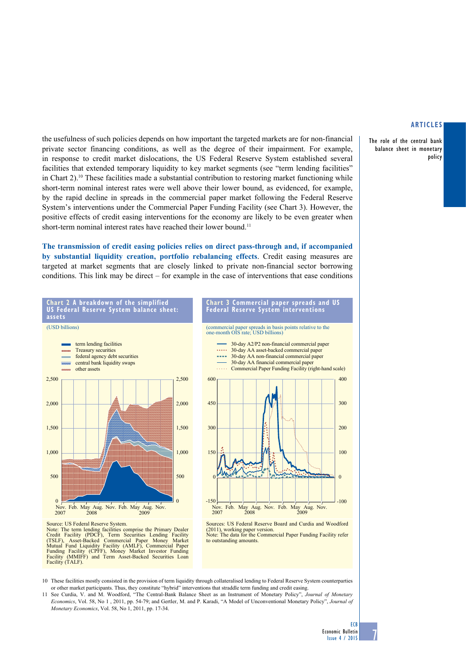The role of the central bank balance sheet in monetary policy

the usefulness of such policies depends on how important the targeted markets are for non-financial private sector financing conditions, as well as the degree of their impairment. For example, in response to credit market dislocations, the US Federal Reserve System established several facilities that extended temporary liquidity to key market segments (see "term lending facilities" in Chart  $2$ ).<sup>10</sup> These facilities made a substantial contribution to restoring market functioning while short-term nominal interest rates were well above their lower bound, as evidenced, for example, by the rapid decline in spreads in the commercial paper market following the Federal Reserve System's interventions under the Commercial Paper Funding Facility (see Chart 3). However, the positive effects of credit easing interventions for the economy are likely to be even greater when short-term nominal interest rates have reached their lower bound.<sup>11</sup>

**The transmission of credit easing policies relies on direct pass-through and, if accompanied by substantial liquidity creation, portfolio rebalancing effects**. Credit easing measures are targeted at market segments that are closely linked to private non-financial sector borrowing conditions. This link may be direct – for example in the case of interventions that ease conditions



10 These facilities mostly consisted in the provision of term liquidity through collateralised lending to Federal Reserve System counterparties or other market participants. Thus, they constitute "hybrid" interventions that straddle term funding and credit easing.

Facility (TALF).

11 See Curdia, V. and M. Woodford, "The Central-Bank Balance Sheet as an Instrument of Monetary Policy", *Journal of Monetary Economics*, Vol. 58, No 1 , 2011, pp. 54-79; and Gertler, M. and P. Karadi, "A Model of Unconventional Monetary Policy", *Journal of Monetary Economics*, Vol. 58, No 1, 2011, pp. 17-34.

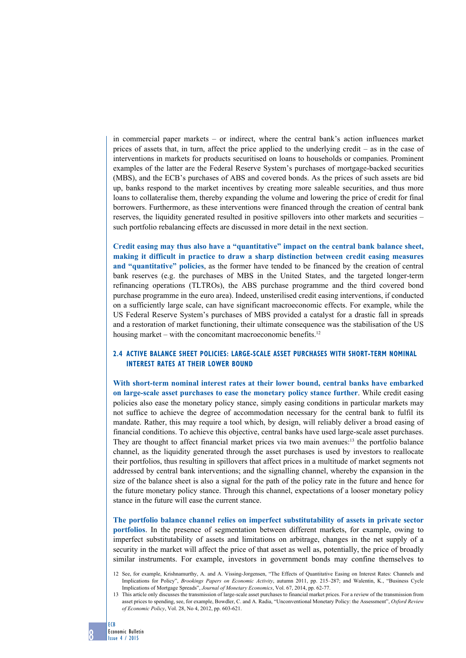in commercial paper markets – or indirect, where the central bank's action influences market prices of assets that, in turn, affect the price applied to the underlying credit – as in the case of interventions in markets for products securitised on loans to households or companies. Prominent examples of the latter are the Federal Reserve System's purchases of mortgage-backed securities (MBS), and the ECB's purchases of ABS and covered bonds. As the prices of such assets are bid up, banks respond to the market incentives by creating more saleable securities, and thus more loans to collateralise them, thereby expanding the volume and lowering the price of credit for final borrowers. Furthermore, as these interventions were financed through the creation of central bank reserves, the liquidity generated resulted in positive spillovers into other markets and securities – such portfolio rebalancing effects are discussed in more detail in the next section.

**Credit easing may thus also have a "quantitative" impact on the central bank balance sheet, making it difficult in practice to draw a sharp distinction between credit easing measures and "quantitative" policies**, as the former have tended to be financed by the creation of central bank reserves (e.g. the purchases of MBS in the United States, and the targeted longer-term refinancing operations (TLTROs), the ABS purchase programme and the third covered bond purchase programme in the euro area). Indeed, unsterilised credit easing interventions, if conducted on a sufficiently large scale, can have significant macroeconomic effects. For example, while the US Federal Reserve System's purchases of MBS provided a catalyst for a drastic fall in spreads and a restoration of market functioning, their ultimate consequence was the stabilisation of the US housing market – with the concomitant macroeconomic benefits.<sup>12</sup>

# **2.4 Active balance sheet policies: large-scale asset purchases with short-term nominal interest rates at their lower bound**

**With short-term nominal interest rates at their lower bound, central banks have embarked on large-scale asset purchases to ease the monetary policy stance further**. While credit easing policies also ease the monetary policy stance, simply easing conditions in particular markets may not suffice to achieve the degree of accommodation necessary for the central bank to fulfil its mandate. Rather, this may require a tool which, by design, will reliably deliver a broad easing of financial conditions. To achieve this objective, central banks have used large-scale asset purchases. They are thought to affect financial market prices via two main avenues:13 the portfolio balance channel, as the liquidity generated through the asset purchases is used by investors to reallocate their portfolios, thus resulting in spillovers that affect prices in a multitude of market segments not addressed by central bank interventions; and the signalling channel, whereby the expansion in the size of the balance sheet is also a signal for the path of the policy rate in the future and hence for the future monetary policy stance. Through this channel, expectations of a looser monetary policy stance in the future will ease the current stance.

**The portfolio balance channel relies on imperfect substitutability of assets in private sector portfolios**. In the presence of segmentation between different markets, for example, owing to imperfect substitutability of assets and limitations on arbitrage, changes in the net supply of a security in the market will affect the price of that asset as well as, potentially, the price of broadly similar instruments. For example, investors in government bonds may confine themselves to

ECB

<sup>12</sup> See, for example, Krishnamurthy, A. and A. Vissing-Jorgensen, "The Effects of Quantitative Easing on Interest Rates: Channels and Implications for Policy", *Brookings Papers on Economic Activity*, autumn 2011, pp. 215–287; and Walentin, K., "Business Cycle Implications of Mortgage Spreads", *Journal of Monetary Economics*, Vol. 67, 2014, pp. 62-77.

<sup>13</sup> This article only discusses the transmission of large-scale asset purchases to financial market prices. For a review of the transmission from asset prices to spending, see, for example, Bowdler, C. and A. Radia, "Unconventional Monetary Policy: the Assessment", *Oxford Review of Economic Policy*, Vol. 28, No 4, 2012, pp. 603-621.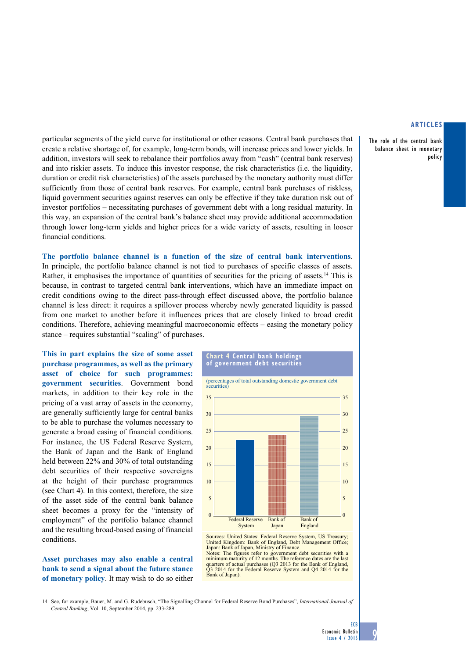The role of the central bank balance sheet in monetary policy

particular segments of the yield curve for institutional or other reasons. Central bank purchases that create a relative shortage of, for example, long-term bonds, will increase prices and lower yields. In addition, investors will seek to rebalance their portfolios away from "cash" (central bank reserves) and into riskier assets. To induce this investor response, the risk characteristics (i.e. the liquidity, duration or credit risk characteristics) of the assets purchased by the monetary authority must differ sufficiently from those of central bank reserves. For example, central bank purchases of riskless, liquid government securities against reserves can only be effective if they take duration risk out of investor portfolios – necessitating purchases of government debt with a long residual maturity. In this way, an expansion of the central bank's balance sheet may provide additional accommodation through lower long-term yields and higher prices for a wide variety of assets, resulting in looser financial conditions.

**The portfolio balance channel is a function of the size of central bank interventions**. In principle, the portfolio balance channel is not tied to purchases of specific classes of assets. Rather, it emphasises the importance of quantities of securities for the pricing of assets.<sup>14</sup> This is because, in contrast to targeted central bank interventions, which have an immediate impact on credit conditions owing to the direct pass-through effect discussed above, the portfolio balance channel is less direct: it requires a spillover process whereby newly generated liquidity is passed from one market to another before it influences prices that are closely linked to broad credit conditions. Therefore, achieving meaningful macroeconomic effects – easing the monetary policy stance – requires substantial "scaling" of purchases.

**This in part explains the size of some asset purchase programmes, as well as the primary asset of choice for such programmes: government securities**. Government bond markets, in addition to their key role in the pricing of a vast array of assets in the economy, are generally sufficiently large for central banks to be able to purchase the volumes necessary to generate a broad easing of financial conditions. For instance, the US Federal Reserve System, the Bank of Japan and the Bank of England held between 22% and 30% of total outstanding debt securities of their respective sovereigns at the height of their purchase programmes (see Chart 4). In this context, therefore, the size of the asset side of the central bank balance sheet becomes a proxy for the "intensity of employment" of the portfolio balance channel and the resulting broad-based easing of financial conditions.

**Asset purchases may also enable a central bank to send a signal about the future stance of monetary policy**. It may wish to do so either

#### **Chart 4 Central bank holdings of government debt securities**



Sources: United States: Federal Reserve System, US Treasury; United Kingdom: Bank of England, Debt Management Office; Japan: Bank of Japan, Ministry of Finance. Notes: The figures refer to government debt securities with a

minimum maturity of 12 months. The reference dates are the last quarters of actual purchases (Q3 2013 for the Bank of England, Q3 2014 for the Federal Reserve System and Q4 2014 for the Bank of Japan).

14 See, for example, Bauer, M. and G. Rudebusch, "The Signalling Channel for Federal Reserve Bond Purchases", *International Journal of Central Banking*, Vol. 10, September 2014, pp. 233-289.

**ECB**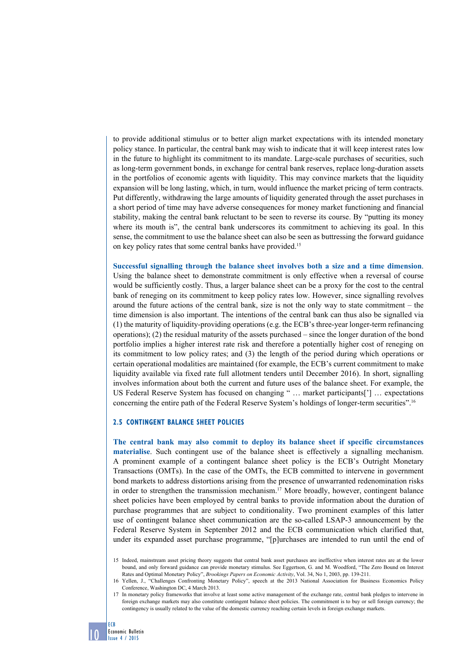to provide additional stimulus or to better align market expectations with its intended monetary policy stance. In particular, the central bank may wish to indicate that it will keep interest rates low in the future to highlight its commitment to its mandate. Large-scale purchases of securities, such as long-term government bonds, in exchange for central bank reserves, replace long-duration assets in the portfolios of economic agents with liquidity. This may convince markets that the liquidity expansion will be long lasting, which, in turn, would influence the market pricing of term contracts. Put differently, withdrawing the large amounts of liquidity generated through the asset purchases in a short period of time may have adverse consequences for money market functioning and financial stability, making the central bank reluctant to be seen to reverse its course. By "putting its money where its mouth is", the central bank underscores its commitment to achieving its goal. In this sense, the commitment to use the balance sheet can also be seen as buttressing the forward guidance on key policy rates that some central banks have provided.15

**Successful signalling through the balance sheet involves both a size and a time dimension**. Using the balance sheet to demonstrate commitment is only effective when a reversal of course would be sufficiently costly. Thus, a larger balance sheet can be a proxy for the cost to the central bank of reneging on its commitment to keep policy rates low. However, since signalling revolves around the future actions of the central bank, size is not the only way to state commitment – the time dimension is also important. The intentions of the central bank can thus also be signalled via (1) the maturity of liquidity-providing operations (e.g. the ECB's three-year longer-term refinancing operations); (2) the residual maturity of the assets purchased – since the longer duration of the bond portfolio implies a higher interest rate risk and therefore a potentially higher cost of reneging on its commitment to low policy rates; and (3) the length of the period during which operations or certain operational modalities are maintained (for example, the ECB's current commitment to make liquidity available via fixed rate full allotment tenders until December 2016). In short, signalling involves information about both the current and future uses of the balance sheet. For example, the US Federal Reserve System has focused on changing " … market participants['] … expectations concerning the entire path of the Federal Reserve System's holdings of longer-term securities".16

## **2.5 Contingent balance sheet policies**

**The central bank may also commit to deploy its balance sheet if specific circumstances materialise**. Such contingent use of the balance sheet is effectively a signalling mechanism. A prominent example of a contingent balance sheet policy is the ECB's Outright Monetary Transactions (OMTs). In the case of the OMTs, the ECB committed to intervene in government bond markets to address distortions arising from the presence of unwarranted redenomination risks in order to strengthen the transmission mechanism.17 More broadly, however, contingent balance sheet policies have been employed by central banks to provide information about the duration of purchase programmes that are subject to conditionality. Two prominent examples of this latter use of contingent balance sheet communication are the so-called LSAP-3 announcement by the Federal Reserve System in September 2012 and the ECB communication which clarified that, under its expanded asset purchase programme, "[p]urchases are intended to run until the end of

15 Indeed, mainstream asset pricing theory suggests that central bank asset purchases are ineffective when interest rates are at the lower bound, and only forward guidance can provide monetary stimulus. See Eggertson, G. and M. Woodford, "The Zero Bound on Interest Rates and Optimal Monetary Policy", *Brookings Papers on Economic Activity*, Vol. 34, No 1, 2003, pp. 139-211.

16 Yellen, J., "Challenges Confronting Monetary Policy", speech at the 2013 National Association for Business Economics Policy Conference, Washington DC, 4 March 2013.

17 In monetary policy frameworks that involve at least some active management of the exchange rate, central bank pledges to intervene in foreign exchange markets may also constitute contingent balance sheet policies. The commitment is to buy or sell foreign currency; the contingency is usually related to the value of the domestic currency reaching certain levels in foreign exchange markets.

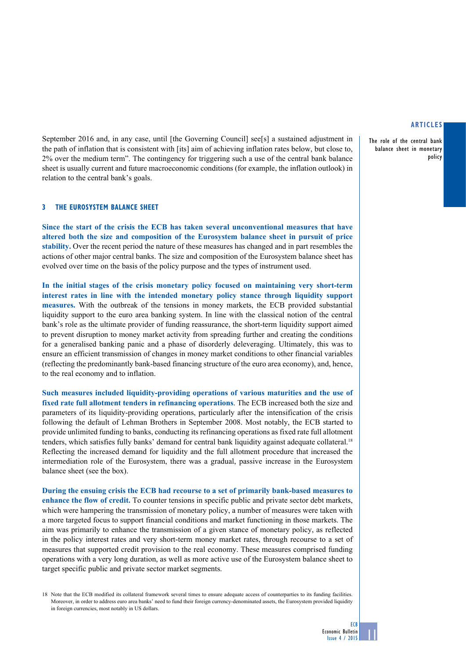The role of the central bank balance sheet in monetary policy

September 2016 and, in any case, until [the Governing Council] see[s] a sustained adjustment in the path of inflation that is consistent with [its] aim of achieving inflation rates below, but close to, 2% over the medium term". The contingency for triggering such a use of the central bank balance sheet is usually current and future macroeconomic conditions (for example, the inflation outlook) in relation to the central bank's goals.

# **3 The Eurosystem balance sheet**

**Since the start of the crisis the ECB has taken several unconventional measures that have altered both the size and composition of the Eurosystem balance sheet in pursuit of price stability.** Over the recent period the nature of these measures has changed and in part resembles the actions of other major central banks. The size and composition of the Eurosystem balance sheet has evolved over time on the basis of the policy purpose and the types of instrument used.

**In the initial stages of the crisis monetary policy focused on maintaining very short-term interest rates in line with the intended monetary policy stance through liquidity support measures.** With the outbreak of the tensions in money markets, the ECB provided substantial liquidity support to the euro area banking system. In line with the classical notion of the central bank's role as the ultimate provider of funding reassurance, the short-term liquidity support aimed to prevent disruption to money market activity from spreading further and creating the conditions for a generalised banking panic and a phase of disorderly deleveraging. Ultimately, this was to ensure an efficient transmission of changes in money market conditions to other financial variables (reflecting the predominantly bank-based financing structure of the euro area economy), and, hence, to the real economy and to inflation.

**Such measures included liquidity-providing operations of various maturities and the use of fixed rate full allotment tenders in refinancing operations**. The ECB increased both the size and parameters of its liquidity-providing operations, particularly after the intensification of the crisis following the default of Lehman Brothers in September 2008. Most notably, the ECB started to provide unlimited funding to banks, conducting its refinancing operations as fixed rate full allotment tenders, which satisfies fully banks' demand for central bank liquidity against adequate collateral.<sup>18</sup> Reflecting the increased demand for liquidity and the full allotment procedure that increased the intermediation role of the Eurosystem, there was a gradual, passive increase in the Eurosystem balance sheet (see the box).

**During the ensuing crisis the ECB had recourse to a set of primarily bank-based measures to enhance the flow of credit.** To counter tensions in specific public and private sector debt markets, which were hampering the transmission of monetary policy, a number of measures were taken with a more targeted focus to support financial conditions and market functioning in those markets. The aim was primarily to enhance the transmission of a given stance of monetary policy, as reflected in the policy interest rates and very short-term money market rates, through recourse to a set of measures that supported credit provision to the real economy. These measures comprised funding operations with a very long duration, as well as more active use of the Eurosystem balance sheet to target specific public and private sector market segments.

18 Note that the ECB modified its collateral framework several times to ensure adequate access of counterparties to its funding facilities. Moreover, in order to address euro area banks' need to fund their foreign currency-denominated assets, the Eurosystem provided liquidity in foreign currencies, most notably in US dollars.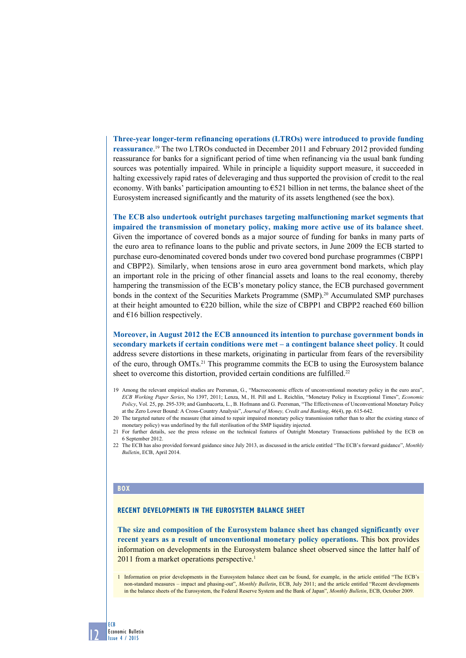**Three-year longer-term refinancing operations (LTROs) were introduced to provide funding reassurance**. 19 The two LTROs conducted in December 2011 and February 2012 provided funding reassurance for banks for a significant period of time when refinancing via the usual bank funding sources was potentially impaired. While in principle a liquidity support measure, it succeeded in halting excessively rapid rates of deleveraging and thus supported the provision of credit to the real economy. With banks' participation amounting to  $\epsilon$  521 billion in net terms, the balance sheet of the Eurosystem increased significantly and the maturity of its assets lengthened (see the box).

**The ECB also undertook outright purchases targeting malfunctioning market segments that impaired the transmission of monetary policy, making more active use of its balance sheet**. Given the importance of covered bonds as a major source of funding for banks in many parts of the euro area to refinance loans to the public and private sectors, in June 2009 the ECB started to purchase euro-denominated covered bonds under two covered bond purchase programmes (CBPP1 and CBPP2). Similarly, when tensions arose in euro area government bond markets, which play an important role in the pricing of other financial assets and loans to the real economy, thereby hampering the transmission of the ECB's monetary policy stance, the ECB purchased government bonds in the context of the Securities Markets Programme (SMP).20 Accumulated SMP purchases at their height amounted to  $E220$  billion, while the size of CBPP1 and CBPP2 reached  $E60$  billion and  $\epsilon$ 16 billion respectively.

**Moreover, in August 2012 the ECB announced its intention to purchase government bonds in secondary markets if certain conditions were met – a contingent balance sheet policy**. It could address severe distortions in these markets, originating in particular from fears of the reversibility of the euro, through OMTs.21 This programme commits the ECB to using the Eurosystem balance sheet to overcome this distortion, provided certain conditions are fulfilled.<sup>22</sup>

- 19 Among the relevant empirical studies are Peersman, G., "Macroeconomic effects of unconventional monetary policy in the euro area", *ECB Working Paper Series*, No 1397, 2011; Lenza, M., H. Pill and L. Reichlin, "Monetary Policy in Exceptional Times", *Economic Policy*, Vol. 25, pp. 295-339; and Gambacorta, L., B. Hofmann and G. Peersman, "The Effectiveness of Unconventional Monetary Policy at the Zero Lower Bound: A Cross-Country Analysis", *Journal of Money, Credit and Banking*, 46(4), pp. 615-642.
- 20 The targeted nature of the measure (that aimed to repair impaired monetary policy transmission rather than to alter the existing stance of monetary policy) was underlined by the full sterilisation of the SMP liquidity injected.
- 21 For further details, see the press release on the technical features of Outright Monetary Transactions published by the ECB on 6 September 2012.
- 22 The ECB has also provided forward guidance since July 2013, as discussed in the article entitled "The ECB's forward guidance", *Monthly Bulletin*, ECB, April 2014.

### **BOX**

12

ECB

Economic Bulletin Issue 4 / 2015

### **RECENT DEVELOPMENTS IN THE EUROSYSTEM BALANCE SHEET**

**The size and composition of the Eurosystem balance sheet has changed significantly over recent years as a result of unconventional monetary policy operations.** This box provides information on developments in the Eurosystem balance sheet observed since the latter half of 2011 from a market operations perspective.<sup>1</sup>

1 Information on prior developments in the Eurosystem balance sheet can be found, for example, in the article entitled "The ECB's non-standard measures – impact and phasing-out", *Monthly Bulletin*, ECB, July 2011; and the article entitled "Recent developments in the balance sheets of the Eurosystem, the Federal Reserve System and the Bank of Japan", *Monthly Bulletin*, ECB, October 2009.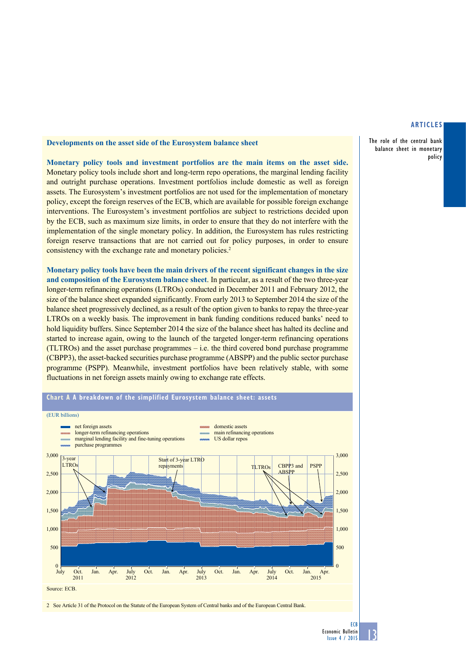The role of the central bank balance sheet in monetary policy

## **Developments on the asset side of the Eurosystem balance sheet**

**Monetary policy tools and investment portfolios are the main items on the asset side.**  Monetary policy tools include short and long-term repo operations, the marginal lending facility and outright purchase operations. Investment portfolios include domestic as well as foreign assets. The Eurosystem's investment portfolios are not used for the implementation of monetary policy, except the foreign reserves of the ECB, which are available for possible foreign exchange interventions. The Eurosystem's investment portfolios are subject to restrictions decided upon by the ECB, such as maximum size limits, in order to ensure that they do not interfere with the implementation of the single monetary policy. In addition, the Eurosystem has rules restricting foreign reserve transactions that are not carried out for policy purposes, in order to ensure consistency with the exchange rate and monetary policies.<sup>2</sup>

**Monetary policy tools have been the main drivers of the recent significant changes in the size and composition of the Eurosystem balance sheet**. In particular, as a result of the two three-year longer-term refinancing operations (LTROs) conducted in December 2011 and February 2012, the size of the balance sheet expanded significantly. From early 2013 to September 2014 the size of the balance sheet progressively declined, as a result of the option given to banks to repay the three-year LTROs on a weekly basis. The improvement in bank funding conditions reduced banks' need to hold liquidity buffers. Since September 2014 the size of the balance sheet has halted its decline and started to increase again, owing to the launch of the targeted longer-term refinancing operations (TLTROs) and the asset purchase programmes – i.e. the third covered bond purchase programme (CBPP3), the asset-backed securities purchase programme (ABSPP) and the public sector purchase programme (PSPP). Meanwhile, investment portfolios have been relatively stable, with some fluctuations in net foreign assets mainly owing to exchange rate effects.



2 See Article 31 of the Protocol on the Statute of the European System of Central banks and of the European Central Bank.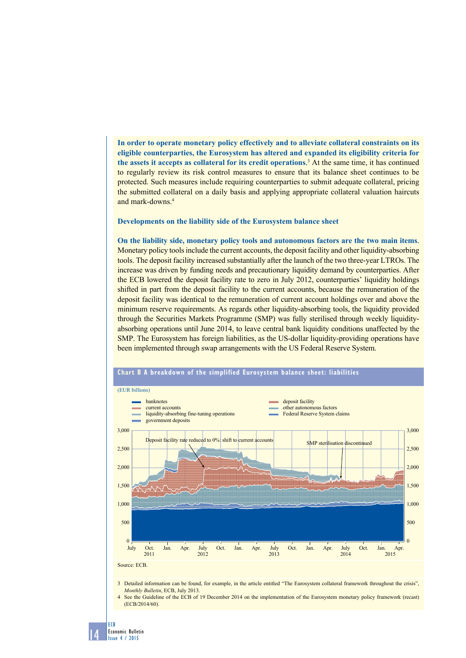**In order to operate monetary policy effectively and to alleviate collateral constraints on its eligible counterparties, the Eurosystem has altered and expanded its eligibility criteria for the assets it accepts as collateral for its credit operations**. 3 At the same time, it has continued to regularly review its risk control measures to ensure that its balance sheet continues to be protected. Such measures include requiring counterparties to submit adequate collateral, pricing the submitted collateral on a daily basis and applying appropriate collateral valuation haircuts and mark-downs.4

#### **Developments on the liability side of the Eurosystem balance sheet**

**On the liability side, monetary policy tools and autonomous factors are the two main items**. Monetary policy tools include the current accounts, the deposit facility and other liquidity-absorbing tools. The deposit facility increased substantially after the launch of the two three-year LTROs. The increase was driven by funding needs and precautionary liquidity demand by counterparties. After the ECB lowered the deposit facility rate to zero in July 2012, counterparties' liquidity holdings shifted in part from the deposit facility to the current accounts, because the remuneration of the deposit facility was identical to the remuneration of current account holdings over and above the minimum reserve requirements. As regards other liquidity-absorbing tools, the liquidity provided through the Securities Markets Programme (SMP) was fully sterilised through weekly liquidityabsorbing operations until June 2014, to leave central bank liquidity conditions unaffected by the SMP. The Eurosystem has foreign liabilities, as the US-dollar liquidity-providing operations have been implemented through swap arrangements with the US Federal Reserve System.



## **Chart b A breakdown of the simplified Eurosystem balance sheet: liabilities**

3 Detailed information can be found, for example, in the article entitled "The Eurosystem collateral framework throughout the crisis", *Monthly Bulletin*, ECB, July 2013.

4 See the Guideline of the ECB of 19 December 2014 on the implementation of the Eurosystem monetary policy framework (recast) (ECB/2014/60).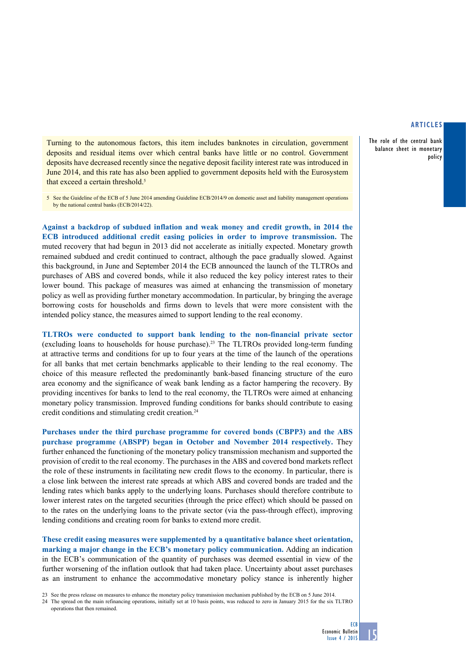policy

The role of the central bank balance sheet in monetary

Turning to the autonomous factors, this item includes banknotes in circulation, government deposits and residual items over which central banks have little or no control. Government deposits have decreased recently since the negative deposit facility interest rate was introduced in June 2014, and this rate has also been applied to government deposits held with the Eurosystem that exceed a certain threshold.<sup>5</sup>

5 See the Guideline of the ECB of 5 June 2014 amending Guideline ECB/2014/9 on domestic asset and liability management operations by the national central banks (ECB/2014/22).

**Against a backdrop of subdued inflation and weak money and credit growth, in 2014 the ECB introduced additional credit easing policies in order to improve transmission.** The muted recovery that had begun in 2013 did not accelerate as initially expected. Monetary growth remained subdued and credit continued to contract, although the pace gradually slowed. Against this background, in June and September 2014 the ECB announced the launch of the TLTROs and purchases of ABS and covered bonds, while it also reduced the key policy interest rates to their lower bound. This package of measures was aimed at enhancing the transmission of monetary policy as well as providing further monetary accommodation. In particular, by bringing the average borrowing costs for households and firms down to levels that were more consistent with the intended policy stance, the measures aimed to support lending to the real economy.

**TLTROs were conducted to support bank lending to the non-financial private sector** (excluding loans to households for house purchase).23 The TLTROs provided long-term funding at attractive terms and conditions for up to four years at the time of the launch of the operations for all banks that met certain benchmarks applicable to their lending to the real economy. The choice of this measure reflected the predominantly bank-based financing structure of the euro area economy and the significance of weak bank lending as a factor hampering the recovery. By providing incentives for banks to lend to the real economy, the TLTROs were aimed at enhancing monetary policy transmission. Improved funding conditions for banks should contribute to easing credit conditions and stimulating credit creation.24

**Purchases under the third purchase programme for covered bonds (CBPP3) and the ABS purchase programme (ABSPP) began in October and November 2014 respectively.** They further enhanced the functioning of the monetary policy transmission mechanism and supported the provision of credit to the real economy. The purchases in the ABS and covered bond markets reflect the role of these instruments in facilitating new credit flows to the economy. In particular, there is a close link between the interest rate spreads at which ABS and covered bonds are traded and the lending rates which banks apply to the underlying loans. Purchases should therefore contribute to lower interest rates on the targeted securities (through the price effect) which should be passed on to the rates on the underlying loans to the private sector (via the pass-through effect), improving lending conditions and creating room for banks to extend more credit.

**These credit easing measures were supplemented by a quantitative balance sheet orientation, marking a major change in the ECB's monetary policy communication.** Adding an indication in the ECB's communication of the quantity of purchases was deemed essential in view of the further worsening of the inflation outlook that had taken place. Uncertainty about asset purchases as an instrument to enhance the accommodative monetary policy stance is inherently higher

23 See the press release on measures to enhance the monetary policy transmission mechanism published by the ECB on 5 June 2014.

<sup>24</sup> The spread on the main refinancing operations, initially set at 10 basis points, was reduced to zero in January 2015 for the six TLTRO operations that then remained.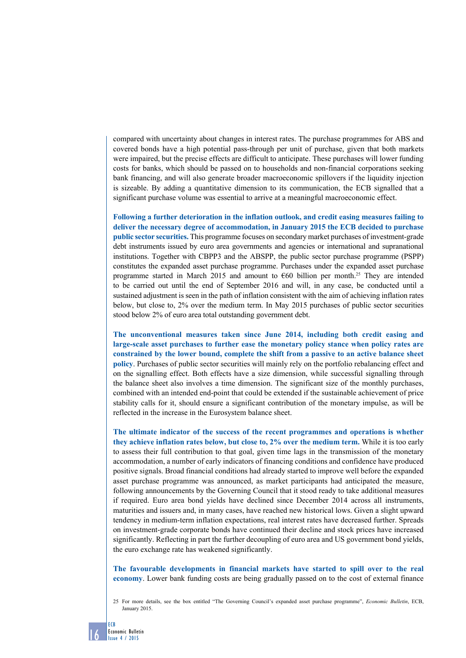compared with uncertainty about changes in interest rates. The purchase programmes for ABS and covered bonds have a high potential pass-through per unit of purchase, given that both markets were impaired, but the precise effects are difficult to anticipate. These purchases will lower funding costs for banks, which should be passed on to households and non-financial corporations seeking bank financing, and will also generate broader macroeconomic spillovers if the liquidity injection is sizeable. By adding a quantitative dimension to its communication, the ECB signalled that a significant purchase volume was essential to arrive at a meaningful macroeconomic effect.

**Following a further deterioration in the inflation outlook, and credit easing measures failing to deliver the necessary degree of accommodation, in January 2015 the ECB decided to purchase public sector securities.** This programme focuses on secondary market purchases of investment-grade debt instruments issued by euro area governments and agencies or international and supranational institutions. Together with CBPP3 and the ABSPP, the public sector purchase programme (PSPP) constitutes the expanded asset purchase programme. Purchases under the expanded asset purchase programme started in March 2015 and amount to  $660$  billion per month.<sup>25</sup> They are intended to be carried out until the end of September 2016 and will, in any case, be conducted until a sustained adjustment is seen in the path of inflation consistent with the aim of achieving inflation rates below, but close to, 2% over the medium term. In May 2015 purchases of public sector securities stood below 2% of euro area total outstanding government debt.

**The unconventional measures taken since June 2014, including both credit easing and large-scale asset purchases to further ease the monetary policy stance when policy rates are constrained by the lower bound, complete the shift from a passive to an active balance sheet policy**. Purchases of public sector securities will mainly rely on the portfolio rebalancing effect and on the signalling effect. Both effects have a size dimension, while successful signalling through the balance sheet also involves a time dimension. The significant size of the monthly purchases, combined with an intended end-point that could be extended if the sustainable achievement of price stability calls for it, should ensure a significant contribution of the monetary impulse, as will be reflected in the increase in the Eurosystem balance sheet.

**The ultimate indicator of the success of the recent programmes and operations is whether they achieve inflation rates below, but close to, 2% over the medium term.** While it is too early to assess their full contribution to that goal, given time lags in the transmission of the monetary accommodation, a number of early indicators of financing conditions and confidence have produced positive signals. Broad financial conditions had already started to improve well before the expanded asset purchase programme was announced, as market participants had anticipated the measure, following announcements by the Governing Council that it stood ready to take additional measures if required. Euro area bond yields have declined since December 2014 across all instruments, maturities and issuers and, in many cases, have reached new historical lows. Given a slight upward tendency in medium-term inflation expectations, real interest rates have decreased further. Spreads on investment-grade corporate bonds have continued their decline and stock prices have increased significantly. Reflecting in part the further decoupling of euro area and US government bond yields, the euro exchange rate has weakened significantly.

**The favourable developments in financial markets have started to spill over to the real economy**. Lower bank funding costs are being gradually passed on to the cost of external finance

25 For more details, see the box entitled "The Governing Council's expanded asset purchase programme", *Economic Bulletin*, ECB, January 2015.